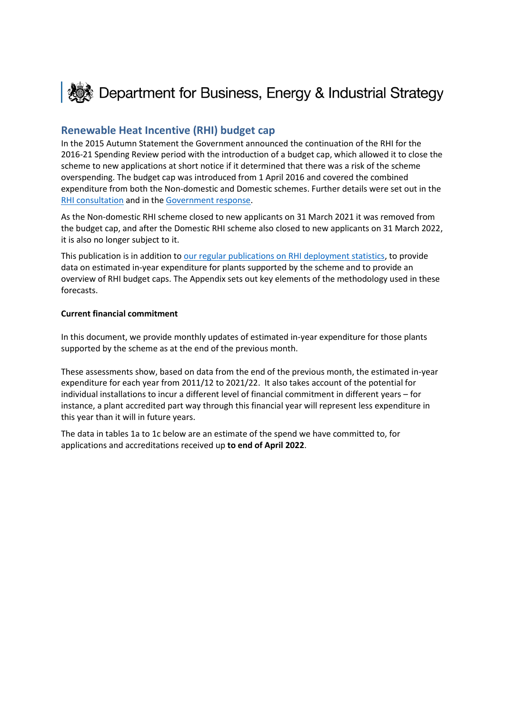

## **Renewable Heat Incentive (RHI) budget cap**

In the 2015 Autumn Statement the Government announced the continuation of the RHI for the 2016-21 Spending Review period with the introduction of a budget cap, which allowed it to close the scheme to new applications at short notice if it determined that there was a risk of the scheme overspending. The budget cap was introduced from 1 April 2016 and covered the combined expenditure from both the Non-domestic and Domestic schemes. Further details were set out in the [RHI consultation](https://www.gov.uk/government/consultations/the-renewable-heat-incentive-a-reformed-and-refocused-scheme) and in th[e Government response.](https://www.gov.uk/government/uploads/system/uploads/attachment_data/file/577024/RHI_Reform_Government_response_FINAL.pdf)

As the Non-domestic RHI scheme closed to new applicants on 31 March 2021 it was removed from the budget cap, and after the Domestic RHI scheme also closed to new applicants on 31 March 2022, it is also no longer subject to it.

This publication is in addition t[o our regular publications on RHI deployment statistics,](https://www.gov.uk/government/collections/renewable-heat-incentive-statistics) to provide data on estimated in-year expenditure for plants supported by the scheme and to provide an overview of RHI budget caps. The Appendix sets out key elements of the methodology used in these forecasts.

#### **Current financial commitment**

In this document, we provide monthly updates of estimated in-year expenditure for those plants supported by the scheme as at the end of the previous month.

These assessments show, based on data from the end of the previous month, the estimated in-year expenditure for each year from 2011/12 to 2021/22. It also takes account of the potential for individual installations to incur a different level of financial commitment in different years – for instance, a plant accredited part way through this financial year will represent less expenditure in this year than it will in future years.

The data in tables 1a to 1c below are an estimate of the spend we have committed to, for applications and accreditations received up **to end of April 2022**.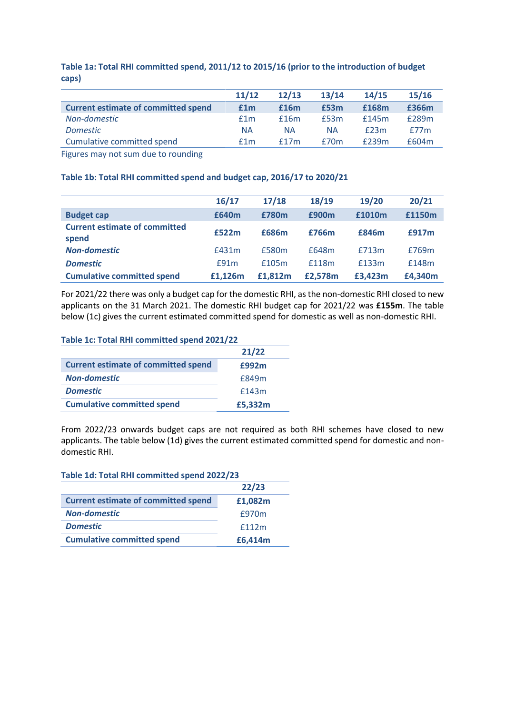|                                            | 11/12     | 12/13     | 13/14     | 14/15 | 15/16 |
|--------------------------------------------|-----------|-----------|-----------|-------|-------|
| <b>Current estimate of committed spend</b> | £1m       | £16m      | £53m      | £168m | £366m |
| Non-domestic                               | f1m       | f16m      | £53m      | f145m | £289m |
| <b>Domestic</b>                            | <b>NA</b> | <b>NA</b> | <b>NA</b> | f23m  | f77m  |
| Cumulative committed spend                 | f1m       | f17m      | f70m      | £239m | £604m |

**Table 1a: Total RHI committed spend, 2011/12 to 2015/16 (prior to the introduction of budget caps)**

Figures may not sum due to rounding

#### **Table 1b: Total RHI committed spend and budget cap, 2016/17 to 2020/21**

|                                               | 16/17   | 17/18   | 18/19   | 19/20   | 20/21   |
|-----------------------------------------------|---------|---------|---------|---------|---------|
| <b>Budget cap</b>                             | £640m   | £780m   | £900m   | £1010m  | £1150m  |
| <b>Current estimate of committed</b><br>spend | £522m   | £686m   | £766m   | £846m   | £917m   |
| <b>Non-domestic</b>                           | £431m   | £580m   | £648m   | £713m   | £769m   |
| <b>Domestic</b>                               | £91m    | £105m   | £118m   | £133m   | £148m   |
| <b>Cumulative committed spend</b>             | £1.126m | £1.812m | £2.578m | £3.423m | £4,340m |

For 2021/22 there was only a budget cap for the domestic RHI, as the non-domestic RHI closed to new applicants on the 31 March 2021. The domestic RHI budget cap for 2021/22 was **£155m**. The table below (1c) gives the current estimated committed spend for domestic as well as non-domestic RHI.

#### **Table 1c: Total RHI committed spend 2021/22**

|                                            | 21/22   |
|--------------------------------------------|---------|
| <b>Current estimate of committed spend</b> | £992m   |
| <b>Non-domestic</b>                        | £849m   |
| <b>Domestic</b>                            | £143m   |
| <b>Cumulative committed spend</b>          | £5,332m |

From 2022/23 onwards budget caps are not required as both RHI schemes have closed to new applicants. The table below (1d) gives the current estimated committed spend for domestic and nondomestic RHI.

| Table 1d: Total RHI committed spend 2022/23 |         |  |  |
|---------------------------------------------|---------|--|--|
|                                             | 22/23   |  |  |
| <b>Current estimate of committed spend</b>  | £1,082m |  |  |
| <b>Non-domestic</b>                         | £970m   |  |  |
| <b>Domestic</b>                             | f112m   |  |  |
| <b>Cumulative committed spend</b>           | £6,414m |  |  |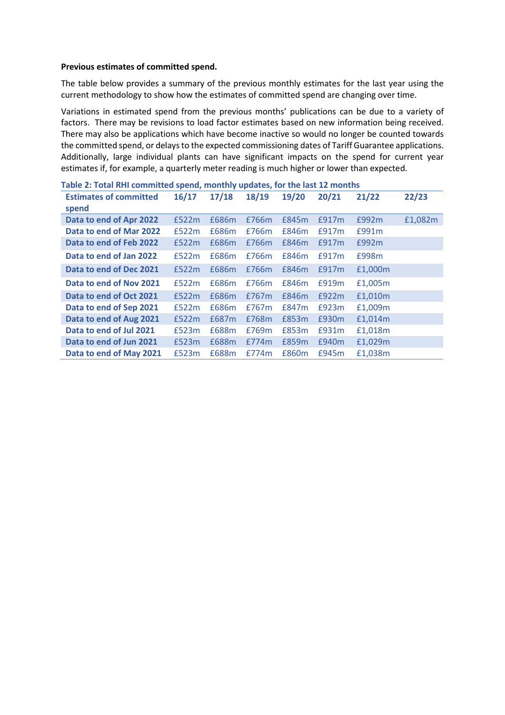#### **Previous estimates of committed spend.**

The table below provides a summary of the previous monthly estimates for the last year using the current methodology to show how the estimates of committed spend are changing over time.

Variations in estimated spend from the previous months' publications can be due to a variety of factors. There may be revisions to load factor estimates based on new information being received. There may also be applications which have become inactive so would no longer be counted towards the committed spend, or delays to the expected commissioning dates of Tariff Guarantee applications. Additionally, large individual plants can have significant impacts on the spend for current year estimates if, for example, a quarterly meter reading is much higher or lower than expected.

|                               | Table 2: Total RHI committed spend, monthly updates, for the last 12 months |       |       |       |       |         |         |
|-------------------------------|-----------------------------------------------------------------------------|-------|-------|-------|-------|---------|---------|
| <b>Estimates of committed</b> | 16/17                                                                       | 17/18 | 18/19 | 19/20 | 20/21 | 21/22   | 22/23   |
| spend                         |                                                                             |       |       |       |       |         |         |
| Data to end of Apr 2022       | £522m                                                                       | £686m | £766m | £845m | £917m | £992m   | £1,082m |
| Data to end of Mar 2022       | £522m                                                                       | £686m | £766m | £846m | £917m | £991m   |         |
| Data to end of Feb 2022       | £522m                                                                       | £686m | £766m | £846m | £917m | £992m   |         |
| Data to end of Jan 2022       | £522m                                                                       | £686m | £766m | £846m | £917m | £998m   |         |
| Data to end of Dec 2021       | £522m                                                                       | £686m | £766m | £846m | £917m | £1,000m |         |
| Data to end of Nov 2021       | £522m                                                                       | £686m | £766m | £846m | £919m | £1,005m |         |
| Data to end of Oct 2021       | £522m                                                                       | £686m | £767m | £846m | £922m | £1,010m |         |
| Data to end of Sep 2021       | £522m                                                                       | £686m | £767m | £847m | £923m | £1,009m |         |
| Data to end of Aug 2021       | £522m                                                                       | £687m | £768m | £853m | £930m | £1,014m |         |
| Data to end of Jul 2021       | £523m                                                                       | £688m | £769m | £853m | £931m | £1,018m |         |
| Data to end of Jun 2021       | £523m                                                                       | £688m | £774m | £859m | £940m | £1,029m |         |
| Data to end of May 2021       | £523m                                                                       | £688m | £774m | £860m | £945m | £1,038m |         |

**Table 2: Total RHI committed spend, monthly updates, for the last 12 months**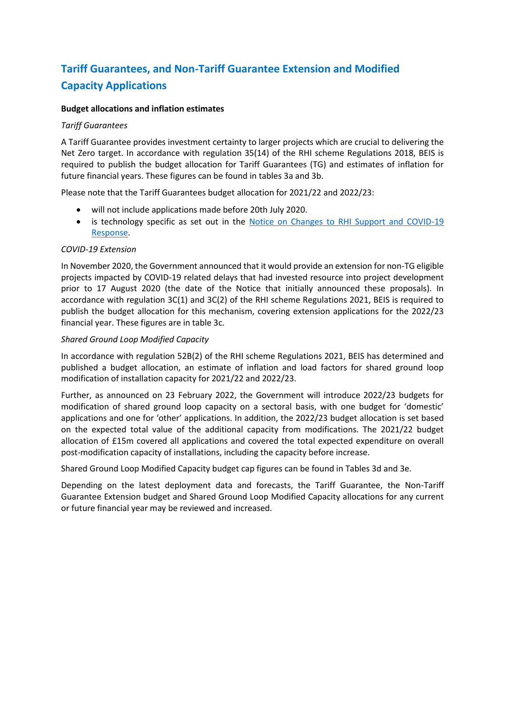# **Tariff Guarantees, and Non-Tariff Guarantee Extension and Modified Capacity Applications**

#### **Budget allocations and inflation estimates**

#### *Tariff Guarantees*

A Tariff Guarantee provides investment certainty to larger projects which are crucial to delivering the Net Zero target. In accordance with regulation 35(14) of the RHI scheme Regulations 2018, BEIS is required to publish the budget allocation for Tariff Guarantees (TG) and estimates of inflation for future financial years. These figures can be found in tables 3a and 3b.

Please note that the Tariff Guarantees budget allocation for 2021/22 and 2022/23:

- will not include applications made before 20th July 2020.
- is technology specific as set out in the Notice on Changes to RHI Support and COVID-19 [Response.](https://www.gov.uk/government/publications/changes-to-the-renewable-heat-incentive-rhi-schemes)

#### *COVID-19 Extension*

In November 2020, the Government announced that it would provide an extension for non-TG eligible projects impacted by COVID-19 related delays that had invested resource into project development prior to 17 August 2020 (the date of the Notice that initially announced these proposals). In accordance with regulation 3C(1) and 3C(2) of the RHI scheme Regulations 2021, BEIS is required to publish the budget allocation for this mechanism, covering extension applications for the 2022/23 financial year. These figures are in table 3c.

#### *Shared Ground Loop Modified Capacity*

In accordance with regulation 52B(2) of the RHI scheme Regulations 2021, BEIS has determined and published a budget allocation, an estimate of inflation and load factors for shared ground loop modification of installation capacity for 2021/22 and 2022/23.

Further, as announced on 23 February 2022, the Government will introduce 2022/23 budgets for modification of shared ground loop capacity on a sectoral basis, with one budget for 'domestic' applications and one for 'other' applications. In addition, the 2022/23 budget allocation is set based on the expected total value of the additional capacity from modifications. The 2021/22 budget allocation of £15m covered all applications and covered the total expected expenditure on overall post-modification capacity of installations, including the capacity before increase.

Shared Ground Loop Modified Capacity budget cap figures can be found in Tables 3d and 3e.

Depending on the latest deployment data and forecasts, the Tariff Guarantee, the Non-Tariff Guarantee Extension budget and Shared Ground Loop Modified Capacity allocations for any current or future financial year may be reviewed and increased.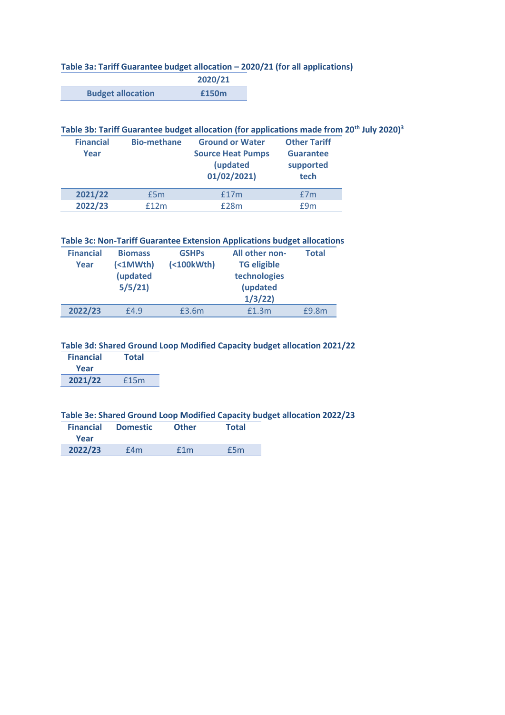## **Table 3a: Tariff Guarantee budget allocation – 2020/21 (for all applications)**

|                          | 2020/21 |
|--------------------------|---------|
| <b>Budget allocation</b> | £150m   |

#### **Table 3b: Tariff Guarantee budget allocation (for applications made from 20th July 2020)<sup>3</sup>**

| <b>Financial</b><br>Year | <b>Bio-methane</b> | <b>Ground or Water</b><br><b>Source Heat Pumps</b><br>(updated<br>01/02/2021 | <b>Other Tariff</b><br><b>Guarantee</b><br>supported<br>tech |
|--------------------------|--------------------|------------------------------------------------------------------------------|--------------------------------------------------------------|
| 2021/22                  | £5m                | f17m                                                                         | £7m                                                          |
| 2022/23                  | f12m               | £28m                                                                         | f9m                                                          |

#### **Table 3c: Non-Tariff Guarantee Extension Applications budget allocations**

| <b>Financial</b><br>Year | <b>Biomass</b><br>(21M <sub>Wth</sub> )<br>(updated<br>5/5/21 | <b>GSHPs</b><br>$( < 100kWh)$ | All other non-<br><b>TG eligible</b><br>technologies<br>(updated<br>1/3/22 | <b>Total</b> |
|--------------------------|---------------------------------------------------------------|-------------------------------|----------------------------------------------------------------------------|--------------|
| 2022/23                  | £4.9                                                          | £3.6m                         | f1.3m                                                                      | £9.8m        |

#### **Table 3d: Shared Ground Loop Modified Capacity budget allocation 2021/22**

| <b>Financial</b> | <b>Total</b> |  |
|------------------|--------------|--|
| Year             |              |  |
| 2021/22          | £15m         |  |

### **Table 3e: Shared Ground Loop Modified Capacity budget allocation 2022/23**

| <b>Financial</b><br>Year | <b>Domestic</b> | <b>Other</b> | <b>Total</b> |
|--------------------------|-----------------|--------------|--------------|
| 2022/23                  | £4m             | f1m          | £5m          |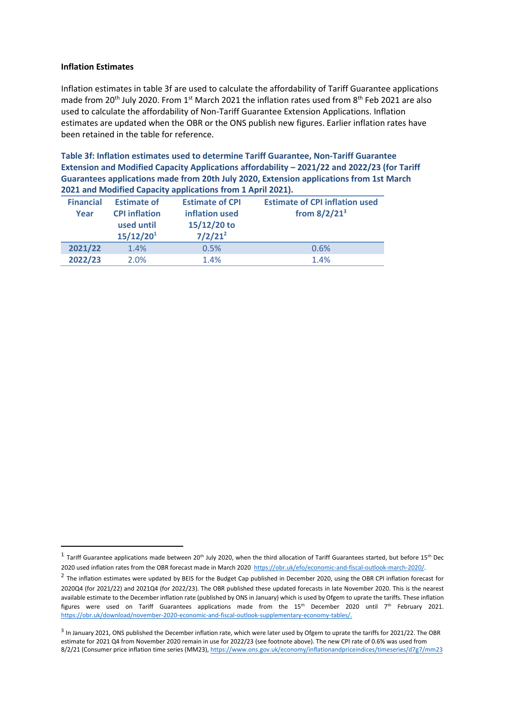#### **Inflation Estimates**

Inflation estimates in table 3f are used to calculate the affordability of Tariff Guarantee applications made from 20<sup>th</sup> July 2020. From 1<sup>st</sup> March 2021 the inflation rates used from 8<sup>th</sup> Feb 2021 are also used to calculate the affordability of Non-Tariff Guarantee Extension Applications. Inflation estimates are updated when the OBR or the ONS publish new figures. Earlier inflation rates have been retained in the table for reference.

**Table 3f: Inflation estimates used to determine Tariff Guarantee, Non-Tariff Guarantee Extension and Modified Capacity Applications affordability – 2021/22 and 2022/23 (for Tariff Guarantees applications made from 20th July 2020, Extension applications from 1st March 2021 and Modified Capacity applications from 1 April 2021).** 

| <b>Financial</b><br>Year | <b>Estimate of</b><br><b>CPI inflation</b><br>used until<br>15/12/20 <sup>1</sup> | <b>Estimate of CPI</b><br>inflation used<br>15/12/20 to<br>$7/2/21^2$ | <b>Estimate of CPI inflation used</b><br>from $8/2/21^3$ |
|--------------------------|-----------------------------------------------------------------------------------|-----------------------------------------------------------------------|----------------------------------------------------------|
| 2021/22                  | 1.4%                                                                              | 0.5%                                                                  | 0.6%                                                     |
| 2022/23                  | 2.0%                                                                              | 1.4%                                                                  | 1.4%                                                     |

 $^1$  Tariff Guarantee applications made between 20<sup>th</sup> July 2020, when the third allocation of Tariff Guarantees started, but before 15<sup>th</sup> Dec 2020 used inflation rates from the OBR forecast made in March 2020 [https://obr.uk/efo/economic-and-fiscal-outlook-march-2020/.](https://obr.uk/efo/economic-and-fiscal-outlook-march-2020/)

 $^2$  The inflation estimates were updated by BEIS for the Budget Cap published in December 2020, using the OBR CPI inflation forecast for 2020Q4 (for 2021/22) and 2021Q4 (for 2022/23). The OBR published these updated forecasts in late November 2020. This is the nearest available estimate to the December inflation rate (published by ONS in January) which is used by Ofgem to uprate the tariffs. These inflation figures were used on Tariff Guarantees applications made from the 15<sup>th</sup> December 2020 until 7<sup>th</sup> February 2021. [https://obr.uk/download/november-2020-economic-and-fiscal-outlook-supplementary-economy-tables/.](https://eur02.safelinks.protection.outlook.com/?url=https%3A%2F%2Fobr.uk%2Fdownload%2Fnovember-2020-economic-and-fiscal-outlook-supplementary-economy-tables%2F&data=04%7C01%7CAnna.Carlsson%40beis.gov.uk%7Cc9c76a8c27c046cbf3d308d89c3e2f17%7Ccbac700502c143ebb497e6492d1b2dd8%7C0%7C0%7C637431138176184113%7CUnknown%7CTWFpbGZsb3d8eyJWIjoiMC4wLjAwMDAiLCJQIjoiV2luMzIiLCJBTiI6Ik1haWwiLCJXVCI6Mn0%3D%7C1000&sdata=qjHpgZ72jS8aqlQXsebWC3FL0kQSRRlLCBPJTQbKijc%3D&reserved=0)

<sup>&</sup>lt;sup>3</sup> In January 2021, ONS published the December inflation rate, which were later used by Ofgem to uprate the tariffs for 2021/22. The OBR estimate for 2021 Q4 from November 2020 remain in use for 2022/23 (see footnote above). The new CPI rate of 0.6% was used from 8/2/21 (Consumer price inflation time series (MM23)[, https://www.ons.gov.uk/economy/inflationandpriceindices/timeseries/d7g7/mm23](https://www.ons.gov.uk/economy/inflationandpriceindices/timeseries/d7g7/mm23)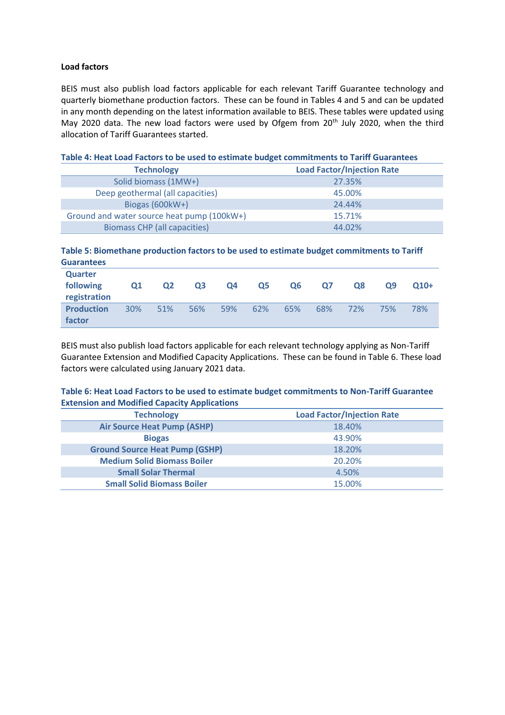#### **Load factors**

BEIS must also publish load factors applicable for each relevant Tariff Guarantee technology and quarterly biomethane production factors. These can be found in Tables 4 and 5 and can be updated in any month depending on the latest information available to BEIS. These tables were updated using May 2020 data. The new load factors were used by Ofgem from 20<sup>th</sup> July 2020, when the third allocation of Tariff Guarantees started.

| TWAIGHT TO THE EVAN TACCOLD TO AC ADON TO COMMUNIC MANAGET COMMUNICATION TO TAMIN' QUARANTECCO |                                   |
|------------------------------------------------------------------------------------------------|-----------------------------------|
| <b>Technology</b>                                                                              | <b>Load Factor/Injection Rate</b> |
| Solid biomass (1MW+)                                                                           | 27.35%                            |
| Deep geothermal (all capacities)                                                               | 45.00%                            |
| Biogas $(600kW+)$                                                                              | 24.44%                            |
| Ground and water source heat pump (100kW+)                                                     | 15.71%                            |
| <b>Biomass CHP</b> (all capacities)                                                            | 44.02%                            |

#### **Table 4: Heat Load Factors to be used to estimate budget commitments to Tariff Guarantees**

#### **Table 5: Biomethane production factors to be used to estimate budget commitments to Tariff Guarantees**

| Quarter<br>following<br>registration | Q1  | Q <sub>2</sub> | Q <sub>3</sub> | Q <sub>4</sub> | Q <sub>5</sub> | Q <sub>6</sub> | 07  | <b>O8</b> | Ο9  | $O10+$ |
|--------------------------------------|-----|----------------|----------------|----------------|----------------|----------------|-----|-----------|-----|--------|
| <b>Production</b><br>factor          | 30% | 51%            | 56%            | 59%            | 62%            | 65%            | 68% | 72%       | 75% | 78%    |

BEIS must also publish load factors applicable for each relevant technology applying as Non-Tariff Guarantee Extension and Modified Capacity Applications. These can be found in Table 6. These load factors were calculated using January 2021 data.

#### **Table 6: Heat Load Factors to be used to estimate budget commitments to Non-Tariff Guarantee Extension and Modified Capacity Applications**

| <b>Technology</b>                     | <b>Load Factor/Injection Rate</b> |  |  |  |  |
|---------------------------------------|-----------------------------------|--|--|--|--|
| <b>Air Source Heat Pump (ASHP)</b>    | 18.40%                            |  |  |  |  |
| <b>Biogas</b>                         | 43.90%                            |  |  |  |  |
| <b>Ground Source Heat Pump (GSHP)</b> | 18.20%                            |  |  |  |  |
| <b>Medium Solid Biomass Boiler</b>    | 20.20%                            |  |  |  |  |
| <b>Small Solar Thermal</b>            | 4.50%                             |  |  |  |  |
| <b>Small Solid Biomass Boiler</b>     | 15.00%                            |  |  |  |  |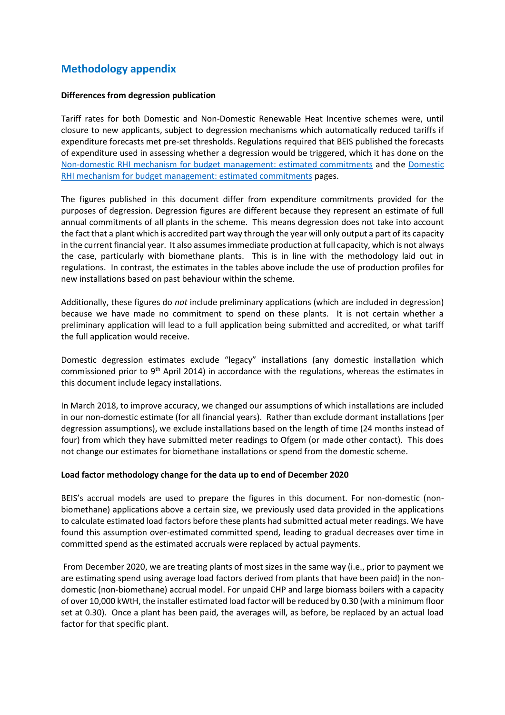## **Methodology appendix**

#### **Differences from degression publication**

Tariff rates for both Domestic and Non-Domestic Renewable Heat Incentive schemes were, until closure to new applicants, subject to degression mechanisms which automatically reduced tariffs if expenditure forecasts met pre-set thresholds. Regulations required that BEIS published the forecasts of expenditure used in assessing whether a degression would be triggered, which it has done on the [Non-domestic RHI mechanism for budget management: estimated commitments](https://www.gov.uk/government/publications/rhi-mechanism-for-budget-management-estimated-commitments) and the [Domestic](https://www.gov.uk/government/publications/domestic-rhi-mechanism-for-budget-management-estimated-commitments)  [RHI mechanism for budget management: estimated commitments](https://www.gov.uk/government/publications/domestic-rhi-mechanism-for-budget-management-estimated-commitments) pages.

The figures published in this document differ from expenditure commitments provided for the purposes of degression. Degression figures are different because they represent an estimate of full annual commitments of all plants in the scheme. This means degression does not take into account the fact that a plant which is accredited part way through the year will only output a part of its capacity in the current financial year. It also assumes immediate production at full capacity, which is not always the case, particularly with biomethane plants. This is in line with the methodology laid out in regulations. In contrast, the estimates in the tables above include the use of production profiles for new installations based on past behaviour within the scheme.

Additionally, these figures do *not* include preliminary applications (which are included in degression) because we have made no commitment to spend on these plants. It is not certain whether a preliminary application will lead to a full application being submitted and accredited, or what tariff the full application would receive.

Domestic degression estimates exclude "legacy" installations (any domestic installation which commissioned prior to 9<sup>th</sup> April 2014) in accordance with the regulations, whereas the estimates in this document include legacy installations.

In March 2018, to improve accuracy, we changed our assumptions of which installations are included in our non-domestic estimate (for all financial years). Rather than exclude dormant installations (per degression assumptions), we exclude installations based on the length of time (24 months instead of four) from which they have submitted meter readings to Ofgem (or made other contact). This does not change our estimates for biomethane installations or spend from the domestic scheme.

#### **Load factor methodology change for the data up to end of December 2020**

BEIS's accrual models are used to prepare the figures in this document. For non-domestic (nonbiomethane) applications above a certain size, we previously used data provided in the applications to calculate estimated load factors before these plants had submitted actual meter readings. We have found this assumption over-estimated committed spend, leading to gradual decreases over time in committed spend as the estimated accruals were replaced by actual payments.

From December 2020, we are treating plants of most sizes in the same way (i.e., prior to payment we are estimating spend using average load factors derived from plants that have been paid) in the nondomestic (non-biomethane) accrual model. For unpaid CHP and large biomass boilers with a capacity of over 10,000 kWtH, the installer estimated load factor will be reduced by 0.30 (with a minimum floor set at 0.30). Once a plant has been paid, the averages will, as before, be replaced by an actual load factor for that specific plant.